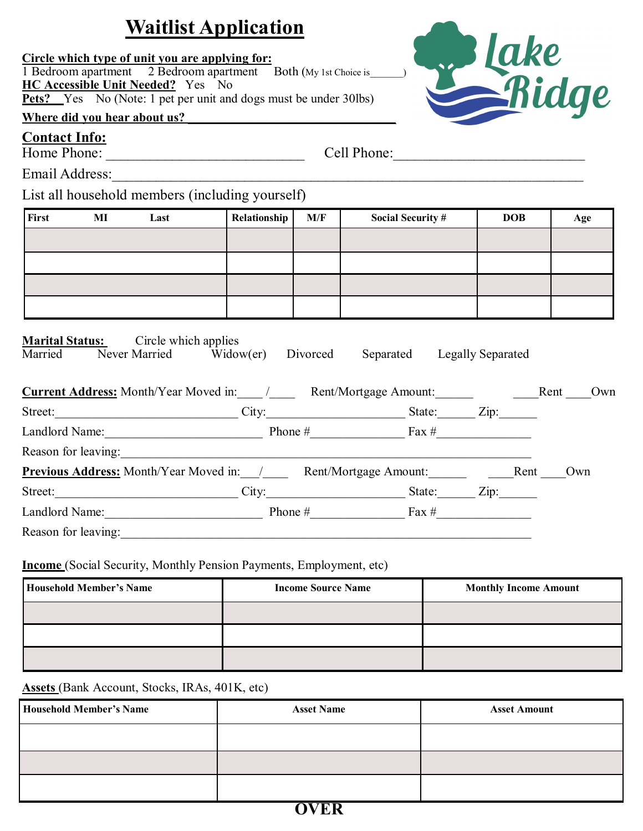# **Waitlist Application**

### **Circle which type of unit you are applying for:**

1 Bedroom apartment 2 Bedroom apartment Both (My 1st Choice is **HC Accessible Unit Needed?** Yes No **Pets?** Yes No (Note: 1 pet per unit and dogs must be under 30lbs)

## Where did you hear about us?

### **Contact Info:**

Home Phone: \_\_\_\_\_\_\_\_\_\_\_\_\_\_\_\_\_\_\_\_\_\_\_\_\_\_\_ Cell Phone:\_\_\_\_\_\_\_\_\_\_\_\_\_\_\_\_\_\_\_\_\_\_\_\_\_\_

Email Address:\_\_\_\_\_\_\_\_\_\_\_\_\_\_\_\_\_\_\_\_\_\_\_\_\_\_\_\_\_\_\_\_\_\_\_\_\_\_\_\_\_\_\_\_\_\_\_\_\_\_\_\_\_\_\_\_\_\_\_\_\_\_\_\_

## List all household members (including yourself)

| First | MI | Last | Relationship | M/F | <b>Social Security #</b> | <b>DOB</b> | Age |
|-------|----|------|--------------|-----|--------------------------|------------|-----|
|       |    |      |              |     |                          |            |     |
|       |    |      |              |     |                          |            |     |
|       |    |      |              |     |                          |            |     |
|       |    |      |              |     |                          |            |     |

### **Marital Status:** Circle which applies

| $\cdots$<br>Married | $\epsilon$ and $\epsilon$ is the set $\epsilon$<br>Never Married Widow(er) | Divorced | Separated | Legally Separated |      |     |
|---------------------|----------------------------------------------------------------------------|----------|-----------|-------------------|------|-----|
|                     | <b>Current Address:</b> Month/Year Moved in: / Rent/Mortgage Amount:       |          |           |                   | Rent | Own |
|                     | Street: <u>City:</u> City: State: Zip:                                     |          |           |                   |      |     |
|                     | Landlord Name: Phone $\#$ Fax $\#$                                         |          |           |                   |      |     |
|                     | Reason for leaving:                                                        |          |           |                   |      |     |
|                     | <b>Previous Address:</b> Month/Year Moved in: / Rent/Mortgage Amount: Rent |          |           |                   |      | Own |
|                     | Street: City:                                                              |          | State:    | Zip:              |      |     |
|                     | Landlord Name: Phone $\#$ Phone $\#$ Fax $\#$                              |          |           |                   |      |     |
| Reason for leaving: |                                                                            |          |           |                   |      |     |

#### **Income** (Social Security, Monthly Pension Payments, Employment, etc)

| <b>Household Member's Name</b> | <b>Income Source Name</b> | <b>Monthly Income Amount</b> |  |  |
|--------------------------------|---------------------------|------------------------------|--|--|
|                                |                           |                              |  |  |
|                                |                           |                              |  |  |
|                                |                           |                              |  |  |

### **Assets** (Bank Account, Stocks, IRAs, 401K, etc)

| <b>Household Member's Name</b> | <b>Asset Name</b> | <b>Asset Amount</b> |  |  |
|--------------------------------|-------------------|---------------------|--|--|
|                                |                   |                     |  |  |
|                                |                   |                     |  |  |
|                                |                   |                     |  |  |
|                                |                   |                     |  |  |